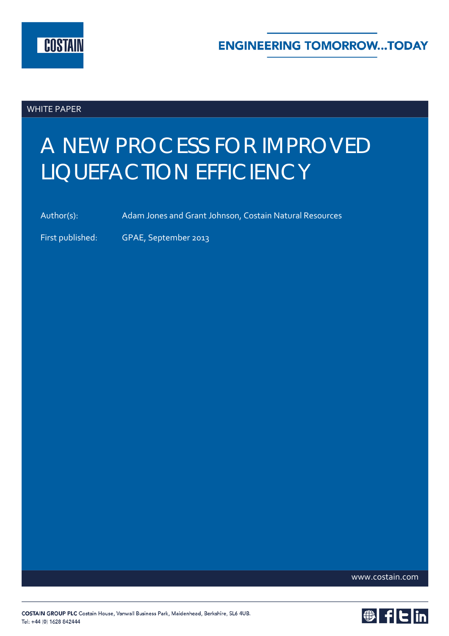

WHITE PAPER

# A NEW PROCESS FOR IMPROVED LIQUEFACTION EFFICIENCY

Author(s): Adam Jones and Grant Johnson, Costain Natural Resources

First published: GPAE, September 2013

www.costain.com

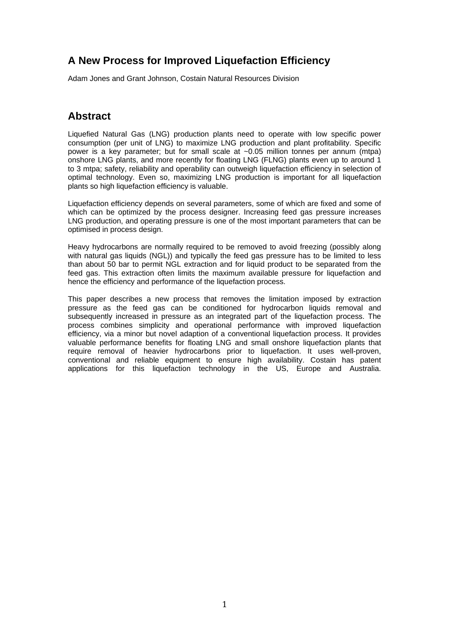## **A New Process for Improved Liquefaction Efficiency**

Adam Jones and Grant Johnson, Costain Natural Resources Division

## **Abstract**

Liquefied Natural Gas (LNG) production plants need to operate with low specific power consumption (per unit of LNG) to maximize LNG production and plant profitability. Specific power is a key parameter; but for small scale at ~0.05 million tonnes per annum (mtpa) onshore LNG plants, and more recently for floating LNG (FLNG) plants even up to around 1 to 3 mtpa; safety, reliability and operability can outweigh liquefaction efficiency in selection of optimal technology. Even so, maximizing LNG production is important for all liquefaction plants so high liquefaction efficiency is valuable.

Liquefaction efficiency depends on several parameters, some of which are fixed and some of which can be optimized by the process designer. Increasing feed gas pressure increases LNG production, and operating pressure is one of the most important parameters that can be optimised in process design.

Heavy hydrocarbons are normally required to be removed to avoid freezing (possibly along with natural gas liquids (NGL)) and typically the feed gas pressure has to be limited to less than about 50 bar to permit NGL extraction and for liquid product to be separated from the feed gas. This extraction often limits the maximum available pressure for liquefaction and hence the efficiency and performance of the liquefaction process.

This paper describes a new process that removes the limitation imposed by extraction pressure as the feed gas can be conditioned for hydrocarbon liquids removal and subsequently increased in pressure as an integrated part of the liquefaction process. The process combines simplicity and operational performance with improved liquefaction efficiency, via a minor but novel adaption of a conventional liquefaction process. It provides valuable performance benefits for floating LNG and small onshore liquefaction plants that require removal of heavier hydrocarbons prior to liquefaction. It uses well-proven, conventional and reliable equipment to ensure high availability. Costain has patent applications for this liquefaction technology in the US, Europe and Australia.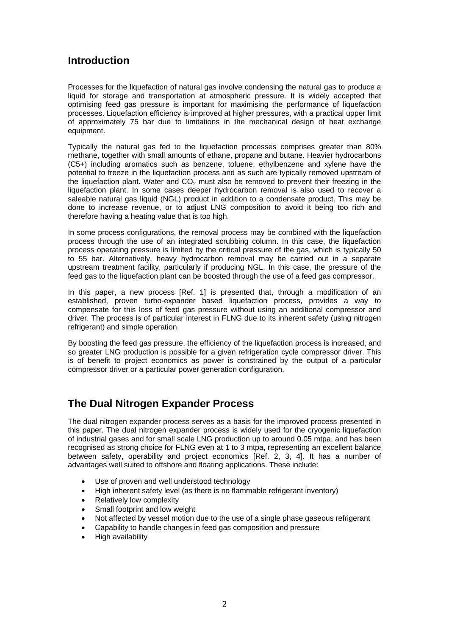## **Introduction**

Processes for the liquefaction of natural gas involve condensing the natural gas to produce a liquid for storage and transportation at atmospheric pressure. It is widely accepted that optimising feed gas pressure is important for maximising the performance of liquefaction processes. Liquefaction efficiency is improved at higher pressures, with a practical upper limit of approximately 75 bar due to limitations in the mechanical design of heat exchange equipment.

Typically the natural gas fed to the liquefaction processes comprises greater than 80% methane, together with small amounts of ethane, propane and butane. Heavier hydrocarbons (C5+) including aromatics such as benzene, toluene, ethylbenzene and xylene have the potential to freeze in the liquefaction process and as such are typically removed upstream of the liquefaction plant. Water and  $CO<sub>2</sub>$  must also be removed to prevent their freezing in the liquefaction plant. In some cases deeper hydrocarbon removal is also used to recover a saleable natural gas liquid (NGL) product in addition to a condensate product. This may be done to increase revenue, or to adjust LNG composition to avoid it being too rich and therefore having a heating value that is too high.

In some process configurations, the removal process may be combined with the liquefaction process through the use of an integrated scrubbing column. In this case, the liquefaction process operating pressure is limited by the critical pressure of the gas, which is typically 50 to 55 bar. Alternatively, heavy hydrocarbon removal may be carried out in a separate upstream treatment facility, particularly if producing NGL. In this case, the pressure of the feed gas to the liquefaction plant can be boosted through the use of a feed gas compressor.

In this paper, a new process [Ref. 1] is presented that, through a modification of an established, proven turbo-expander based liquefaction process, provides a way to compensate for this loss of feed gas pressure without using an additional compressor and driver. The process is of particular interest in FLNG due to its inherent safety (using nitrogen refrigerant) and simple operation.

By boosting the feed gas pressure, the efficiency of the liquefaction process is increased, and so greater LNG production is possible for a given refrigeration cycle compressor driver. This is of benefit to project economics as power is constrained by the output of a particular compressor driver or a particular power generation configuration.

## **The Dual Nitrogen Expander Process**

The dual nitrogen expander process serves as a basis for the improved process presented in this paper. The dual nitrogen expander process is widely used for the cryogenic liquefaction of industrial gases and for small scale LNG production up to around 0.05 mtpa, and has been recognised as strong choice for FLNG even at 1 to 3 mtpa, representing an excellent balance between safety, operability and project economics [Ref. 2, 3, 4]. It has a number of advantages well suited to offshore and floating applications. These include:

- Use of proven and well understood technology
- High inherent safety level (as there is no flammable refrigerant inventory)
- Relatively low complexity
- Small footprint and low weight
- Not affected by vessel motion due to the use of a single phase gaseous refrigerant
- Capability to handle changes in feed gas composition and pressure
- High availability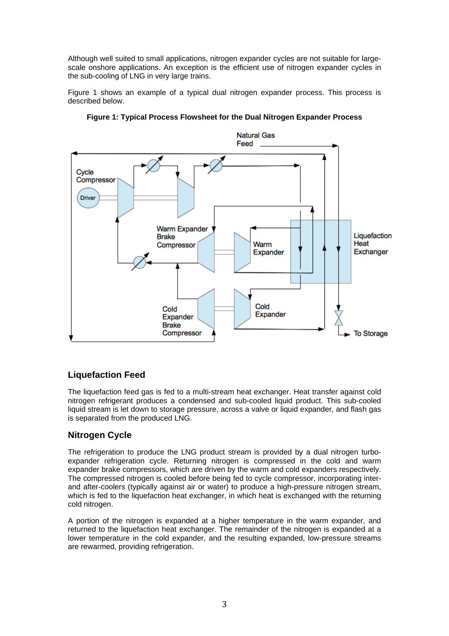Although well suited to small applications, nitrogen expander cycles are not suitable for largescale onshore applications. An exception is the efficient use of nitrogen expander cycles in the sub-cooling of LNG in very large trains.

Figure 1 shows an example of a typical dual nitrogen expander process. This process is described below.





## **Liquefaction Feed**

The liquefaction feed gas is fed to a multi-stream heat exchanger. Heat transfer against cold nitrogen refrigerant produces a condensed and sub-cooled liquid product. This sub-cooled liquid stream is let down to storage pressure, across a valve or liquid expander, and flash gas is separated from the produced LNG.

## **Nitrogen Cycle**

The refrigeration to produce the LNG product stream is provided by a dual nitrogen turboexpander refrigeration cycle. Returning nitrogen is compressed in the cold and warm expander brake compressors, which are driven by the warm and cold expanders respectively. The compressed nitrogen is cooled before being fed to cycle compressor, incorporating interand after-coolers (typically against air or water) to produce a high-pressure nitrogen stream, which is fed to the liquefaction heat exchanger, in which heat is exchanged with the returning cold nitrogen.

A portion of the nitrogen is expanded at a higher temperature in the warm expander, and returned to the liquefaction heat exchanger. The remainder of the nitrogen is expanded at a lower temperature in the cold expander, and the resulting expanded, low-pressure streams are rewarmed, providing refrigeration.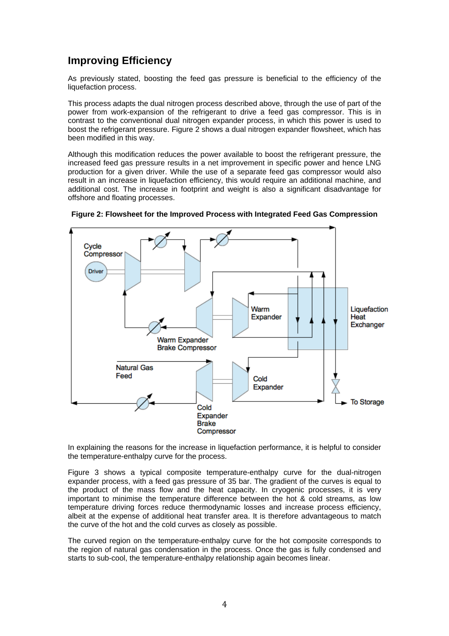## **Improving Efficiency**

As previously stated, boosting the feed gas pressure is beneficial to the efficiency of the liquefaction process.

This process adapts the dual nitrogen process described above, through the use of part of the power from work-expansion of the refrigerant to drive a feed gas compressor. This is in contrast to the conventional dual nitrogen expander process, in which this power is used to boost the refrigerant pressure. Figure 2 shows a dual nitrogen expander flowsheet, which has been modified in this way.

Although this modification reduces the power available to boost the refrigerant pressure, the increased feed gas pressure results in a net improvement in specific power and hence LNG production for a given driver. While the use of a separate feed gas compressor would also result in an increase in liquefaction efficiency, this would require an additional machine, and additional cost. The increase in footprint and weight is also a significant disadvantage for offshore and floating processes.



**Figure 2: Flowsheet for the Improved Process with Integrated Feed Gas Compression** 

In explaining the reasons for the increase in liquefaction performance, it is helpful to consider the temperature-enthalpy curve for the process.

Figure 3 shows a typical composite temperature-enthalpy curve for the dual-nitrogen expander process, with a feed gas pressure of 35 bar. The gradient of the curves is equal to the product of the mass flow and the heat capacity. In cryogenic processes, it is very important to minimise the temperature difference between the hot & cold streams, as low temperature driving forces reduce thermodynamic losses and increase process efficiency, albeit at the expense of additional heat transfer area. It is therefore advantageous to match the curve of the hot and the cold curves as closely as possible.

The curved region on the temperature-enthalpy curve for the hot composite corresponds to the region of natural gas condensation in the process. Once the gas is fully condensed and starts to sub-cool, the temperature-enthalpy relationship again becomes linear.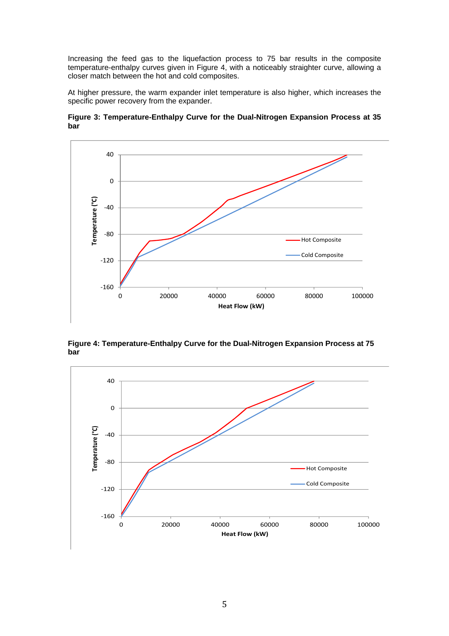Increasing the feed gas to the liquefaction process to 75 bar results in the composite temperature-enthalpy curves given in Figure 4, with a noticeably straighter curve, allowing a closer match between the hot and cold composites.

At higher pressure, the warm expander inlet temperature is also higher, which increases the specific power recovery from the expander.



**Figure 3: Temperature-Enthalpy Curve for the Dual-Nitrogen Expansion Process at 35 bar** 

**Figure 4: Temperature-Enthalpy Curve for the Dual-Nitrogen Expansion Process at 75 bar**

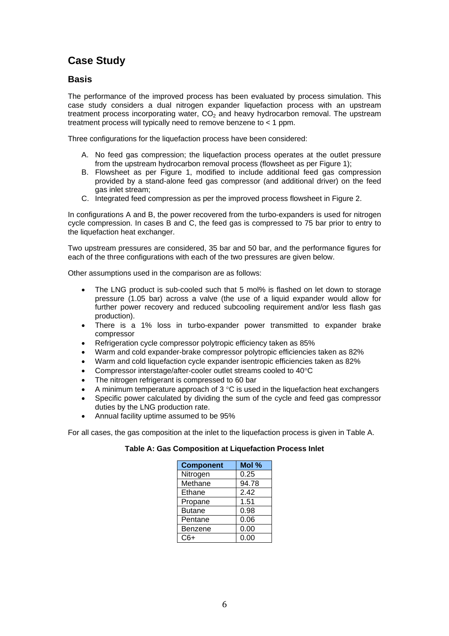# **Case Study**

### **Basis**

The performance of the improved process has been evaluated by process simulation. This case study considers a dual nitrogen expander liquefaction process with an upstream treatment process incorporating water,  $CO<sub>2</sub>$  and heavy hydrocarbon removal. The upstream treatment process will typically need to remove benzene to < 1 ppm.

Three configurations for the liquefaction process have been considered:

- A. No feed gas compression; the liquefaction process operates at the outlet pressure from the upstream hydrocarbon removal process (flowsheet as per Figure 1);
- B. Flowsheet as per Figure 1, modified to include additional feed gas compression provided by a stand-alone feed gas compressor (and additional driver) on the feed gas inlet stream;
- C. Integrated feed compression as per the improved process flowsheet in Figure 2.

In configurations A and B, the power recovered from the turbo-expanders is used for nitrogen cycle compression. In cases B and C, the feed gas is compressed to 75 bar prior to entry to the liquefaction heat exchanger.

Two upstream pressures are considered, 35 bar and 50 bar, and the performance figures for each of the three configurations with each of the two pressures are given below.

Other assumptions used in the comparison are as follows:

- The LNG product is sub-cooled such that 5 mol% is flashed on let down to storage pressure (1.05 bar) across a valve (the use of a liquid expander would allow for further power recovery and reduced subcooling requirement and/or less flash gas production).
- There is a 1% loss in turbo-expander power transmitted to expander brake compressor
- Refrigeration cycle compressor polytropic efficiency taken as 85%
- Warm and cold expander-brake compressor polytropic efficiencies taken as 82%
- Warm and cold liquefaction cycle expander isentropic efficiencies taken as 82%
- Compressor interstage/after-cooler outlet streams cooled to 40°C
- The nitrogen refrigerant is compressed to 60 bar
- A minimum temperature approach of  $3^{\circ}C$  is used in the liquefaction heat exchangers
- Specific power calculated by dividing the sum of the cycle and feed gas compressor duties by the LNG production rate.
- Annual facility uptime assumed to be 95%

For all cases, the gas composition at the inlet to the liquefaction process is given in Table A.

#### **Table A: Gas Composition at Liquefaction Process Inlet**

| <b>Component</b> | Mol % |
|------------------|-------|
| Nitrogen         | 0.25  |
| Methane          | 94.78 |
| Ethane           | 2.42  |
| Propane          | 1.51  |
| <b>Butane</b>    | 0.98  |
| Pentane          | 0.06  |
| Benzene          | 0.00  |
| C6+              | 0.00  |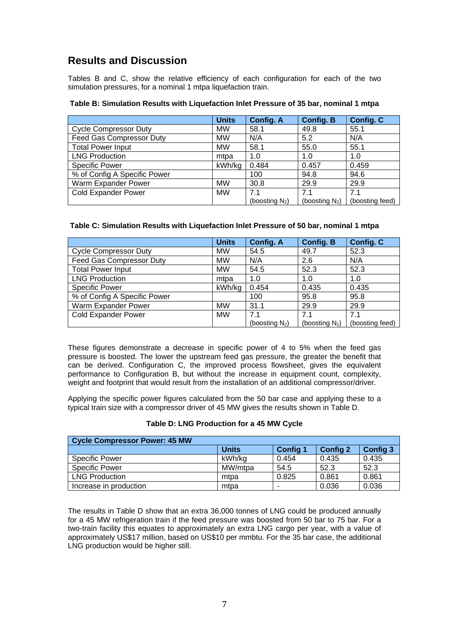# **Results and Discussion**

Tables B and C, show the relative efficiency of each configuration for each of the two simulation pressures, for a nominal 1 mtpa liquefaction train.

|                              | <b>Units</b> | <b>Config. A</b>  | <b>Config. B</b>  | <b>Config. C</b> |
|------------------------------|--------------|-------------------|-------------------|------------------|
| <b>Cycle Compressor Duty</b> | <b>MW</b>    | 58.1              | 49.8              | 55.1             |
| Feed Gas Compressor Duty     | <b>MW</b>    | N/A               | 5.2               | N/A              |
| <b>Total Power Input</b>     | <b>MW</b>    | 58.1              | 55.0              | 55.1             |
| <b>LNG Production</b>        | mtpa         | 1.0               | 1.0               | 1.0              |
| <b>Specific Power</b>        | kWh/kg       | 0.484             | 0.457             | 0.459            |
| % of Config A Specific Power |              | 100               | 94.8              | 94.6             |
| Warm Expander Power          | <b>MW</b>    | 30.8              | 29.9              | 29.9             |
| <b>Cold Expander Power</b>   | <b>MW</b>    | 7.1               | 7.1               | 7.1              |
|                              |              | (boosting $N_2$ ) | (boosting $N_2$ ) | (boosting feed)  |

#### **Table B: Simulation Results with Liquefaction Inlet Pressure of 35 bar, nominal 1 mtpa**

#### **Table C: Simulation Results with Liquefaction Inlet Pressure of 50 bar, nominal 1 mtpa**

|                              | <b>Units</b> | <b>Config. A</b>  | <b>Config. B</b>  | <b>Config. C</b> |
|------------------------------|--------------|-------------------|-------------------|------------------|
| <b>Cycle Compressor Duty</b> | <b>MW</b>    | 54.5              | 49.7              | 52.3             |
| Feed Gas Compressor Duty     | <b>MW</b>    | N/A               | 2.6               | N/A              |
| <b>Total Power Input</b>     | <b>MW</b>    | 54.5              | 52.3              | 52.3             |
| <b>LNG Production</b>        | mtpa         | 1.0               | 1.0               | 1.0              |
| <b>Specific Power</b>        | kWh/kg       | 0.454             | 0.435             | 0.435            |
| % of Config A Specific Power |              | 100               | 95.8              | 95.8             |
| Warm Expander Power          | <b>MW</b>    | 31.1              | 29.9              | 29.9             |
| <b>Cold Expander Power</b>   | <b>MW</b>    | 7.1               | 7.1               | 7.1              |
|                              |              | (boosting $N_2$ ) | (boosting $N_2$ ) | (boosting feed)  |

These figures demonstrate a decrease in specific power of 4 to 5% when the feed gas pressure is boosted. The lower the upstream feed gas pressure, the greater the benefit that can be derived. Configuration C, the improved process flowsheet, gives the equivalent performance to Configuration B, but without the increase in equipment count, complexity, weight and footprint that would result from the installation of an additional compressor/driver.

Applying the specific power figures calculated from the 50 bar case and applying these to a typical train size with a compressor driver of 45 MW gives the results shown in Table D.

#### **Table D: LNG Production for a 45 MW Cycle**

| Cycle Compressor Power: 45 MW |              |                 |                 |                 |
|-------------------------------|--------------|-----------------|-----------------|-----------------|
|                               | <b>Units</b> | <b>Config 1</b> | <b>Config 2</b> | <b>Config 3</b> |
| <b>Specific Power</b>         | kWh/ka       | 0.454           | 0.435           | 0.435           |
| <b>Specific Power</b>         | MW/mtpa      | 54.5            | 52.3            | 52.3            |
| <b>LNG Production</b>         | mtpa         | 0.825           | 0.861           | 0.861           |
| Increase in production        | mtpa         | -               | 0.036           | 0.036           |

The results in Table D show that an extra 36,000 tonnes of LNG could be produced annually for a 45 MW refrigeration train if the feed pressure was boosted from 50 bar to 75 bar. For a two-train facility this equates to approximately an extra LNG cargo per year, with a value of approximately US\$17 million, based on US\$10 per mmbtu. For the 35 bar case, the additional LNG production would be higher still.